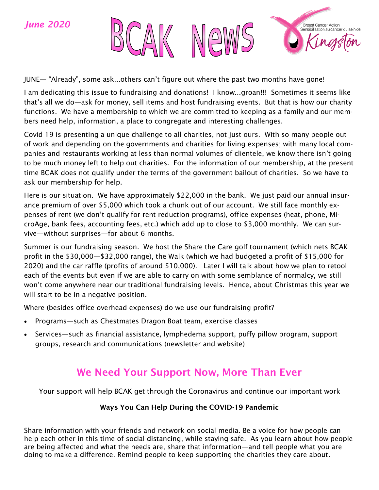

JUNE— "Already", some ask...others can't figure out where the past two months have gone!

I am dedicating this issue to fundraising and donations! I know...groan!!! Sometimes it seems like that's all we do—ask for money, sell items and host fundraising events. But that is how our charity functions. We have a membership to which we are committed to keeping as a family and our members need help, information, a place to congregate and interesting challenges.

Covid 19 is presenting a unique challenge to all charities, not just ours. With so many people out of work and depending on the governments and charities for living expenses; with many local companies and restaurants working at less than normal volumes of clientele, we know there isn't going to be much money left to help out charities. For the information of our membership, at the present time BCAK does not qualify under the terms of the government bailout of charities. So we have to ask our membership for help.

Here is our situation. We have approximately \$22,000 in the bank. We just paid our annual insurance premium of over \$5,000 which took a chunk out of our account. We still face monthly expenses of rent (we don't qualify for rent reduction programs), office expenses (heat, phone, MicroAge, bank fees, accounting fees, etc.) which add up to close to \$3,000 monthly. We can survive—without surprises—for about 6 months.

Summer is our fundraising season. We host the Share the Care golf tournament (which nets BCAK profit in the \$30,000—\$32,000 range), the Walk (which we had budgeted a profit of \$15,000 for 2020) and the car raffle (profits of around \$10,000). Later I will talk about how we plan to retool each of the events but even if we are able to carry on with some semblance of normalcy, we still won't come anywhere near our traditional fundraising levels. Hence, about Christmas this year we will start to be in a negative position.

Where (besides office overhead expenses) do we use our fundraising profit?

- Programs—such as Chestmates Dragon Boat team, exercise classes
- Services—such as financial assistance, lymphedema support, puffy pillow program, support groups, research and communications (newsletter and website)

# We Need Your Support Now, More Than Ever

Your support will help BCAK get through the Coronavirus and continue our important work

#### Ways You Can Help During the COVID-19 Pandemic

Share information with your friends and network on social media. Be a voice for how people can help each other in this time of social distancing, while staying safe. As you learn about how people are being affected and what the needs are, share that information—and tell people what you are doing to make a difference. Remind people to keep supporting the charities they care about.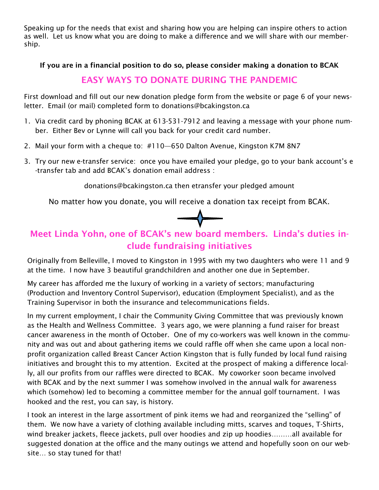Speaking up for the needs that exist and sharing how you are helping can inspire others to action as well. Let us know what you are doing to make a difference and we will share with our membership.

#### If you are in a financial position to do so, please consider making a donation to BCAK

### EASY WAYS TO DONATE DURING THE PANDEMIC

First download and fill out our new donation pledge form from the website or page 6 of your newsletter. Email (or mail) completed form to donations@bcakingston.ca

- 1. Via credit card by phoning BCAK at 613-531-7912 and leaving a message with your phone number. Either Bev or Lynne will call you back for your credit card number.
- 2. Mail your form with a cheque to: #110—650 Dalton Avenue, Kingston K7M 8N7
- 3. Try our new e-transfer service: once you have emailed your pledge, go to your bank account's e -transfer tab and add BCAK's donation email address :

donations@bcakingston.ca then etransfer your pledged amount

No matter how you donate, you will receive a donation tax receipt from BCAK.



## Meet Linda Yohn, one of BCAK's new board members. Linda's duties include fundraising initiatives

Originally from Belleville, I moved to Kingston in 1995 with my two daughters who were 11 and 9 at the time. I now have 3 beautiful grandchildren and another one due in September.

My career has afforded me the luxury of working in a variety of sectors; manufacturing (Production and Inventory Control Supervisor), education (Employment Specialist), and as the Training Supervisor in both the insurance and telecommunications fields.

In my current employment, I chair the Community Giving Committee that was previously known as the Health and Wellness Committee. 3 years ago, we were planning a fund raiser for breast cancer awareness in the month of October. One of my co-workers was well known in the community and was out and about gathering items we could raffle off when she came upon a local nonprofit organization called Breast Cancer Action Kingston that is fully funded by local fund raising initiatives and brought this to my attention. Excited at the prospect of making a difference locally, all our profits from our raffles were directed to BCAK. My coworker soon became involved with BCAK and by the next summer I was somehow involved in the annual walk for awareness which (somehow) led to becoming a committee member for the annual golf tournament. I was hooked and the rest, you can say, is history.

I took an interest in the large assortment of pink items we had and reorganized the "selling" of them. We now have a variety of clothing available including mitts, scarves and toques, T-Shirts, wind breaker jackets, fleece jackets, pull over hoodies and zip up hoodies………all available for suggested donation at the office and the many outings we attend and hopefully soon on our website… so stay tuned for that!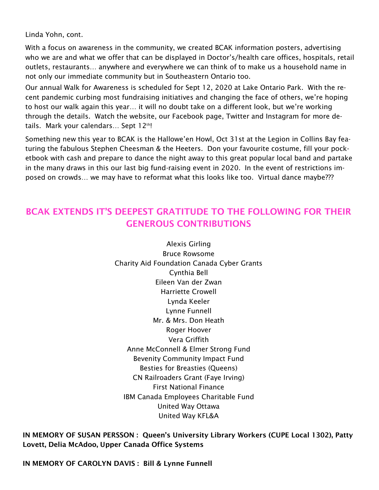Linda Yohn, cont.

With a focus on awareness in the community, we created BCAK information posters, advertising who we are and what we offer that can be displayed in Doctor's/health care offices, hospitals, retail outlets, restaurants… anywhere and everywhere we can think of to make us a household name in not only our immediate community but in Southeastern Ontario too.

Our annual Walk for Awareness is scheduled for Sept 12, 2020 at Lake Ontario Park. With the recent pandemic curbing most fundraising initiatives and changing the face of others, we're hoping to host our walk again this year… it will no doubt take on a different look, but we're working through the details. Watch the website, our Facebook page, Twitter and Instagram for more details. Mark your calendars... Sept  $12<sup>th</sup>$ !

Something new this year to BCAK is the Hallowe'en Howl, Oct 31st at the Legion in Collins Bay featuring the fabulous Stephen Cheesman & the Heeters. Don your favourite costume, fill your pocketbook with cash and prepare to dance the night away to this great popular local band and partake in the many draws in this our last big fund-raising event in 2020. In the event of restrictions imposed on crowds… we may have to reformat what this looks like too. Virtual dance maybe???

## BCAK EXTENDS IT'S DEEPEST GRATITUDE TO THE FOLLOWING FOR THEIR GENEROUS CONTRIBUTIONS

Alexis Girling Bruce Rowsome Charity Aid Foundation Canada Cyber Grants Cynthia Bell Eileen Van der Zwan Harriette Crowell Lynda Keeler Lynne Funnell Mr. & Mrs. Don Heath Roger Hoover Vera Griffith Anne McConnell & Elmer Strong Fund Bevenity Community Impact Fund Besties for Breasties (Queens) CN Railroaders Grant (Faye Irving) First National Finance IBM Canada Employees Charitable Fund United Way Ottawa United Way KFL&A

IN MEMORY OF SUSAN PERSSON : Queen's University Library Workers (CUPE Local 1302), Patty Lovett, Delia McAdoo, Upper Canada Office Systems

IN MEMORY OF CAROLYN DAVIS : Bill & Lynne Funnell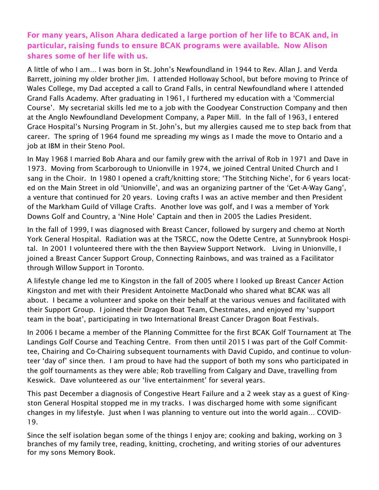#### For many years, Alison Ahara dedicated a large portion of her life to BCAK and, in particular, raising funds to ensure BCAK programs were available. Now Alison shares some of her life with us.

A little of who I am… I was born in St. John's Newfoundland in 1944 to Rev. Allan J. and Verda Barrett, joining my older brother Jim. I attended Holloway School, but before moving to Prince of Wales College, my Dad accepted a call to Grand Falls, in central Newfoundland where I attended Grand Falls Academy. After graduating in 1961, I furthered my education with a 'Commercial Course'. My secretarial skills led me to a job with the Goodyear Construction Company and then at the Anglo Newfoundland Development Company, a Paper Mill. In the fall of 1963, I entered Grace Hospital's Nursing Program in St. John's, but my allergies caused me to step back from that career. The spring of 1964 found me spreading my wings as I made the move to Ontario and a job at IBM in their Steno Pool.

In May 1968 I married Bob Ahara and our family grew with the arrival of Rob in 1971 and Dave in 1973. Moving from Scarborough to Unionville in 1974, we joined Central United Church and I sang in the Choir. In 1980 I opened a craft/knitting store; 'The Stitching Niche', for 6 years located on the Main Street in old 'Unionville', and was an organizing partner of the 'Get-A-Way Gang', a venture that continued for 20 years. Loving crafts I was an active member and then President of the Markham Guild of Village Crafts. Another love was golf, and I was a member of York Downs Golf and Country, a 'Nine Hole' Captain and then in 2005 the Ladies President.

In the fall of 1999, I was diagnosed with Breast Cancer, followed by surgery and chemo at North York General Hospital. Radiation was at the TSRCC, now the Odette Centre, at Sunnybrook Hospital. In 2001 I volunteered there with the then Bayview Support Network. Living in Unionville, I joined a Breast Cancer Support Group, Connecting Rainbows, and was trained as a Facilitator through Willow Support in Toronto.

A lifestyle change led me to Kingston in the fall of 2005 where I looked up Breast Cancer Action Kingston and met with their President Antoinette MacDonald who shared what BCAK was all about. I became a volunteer and spoke on their behalf at the various venues and facilitated with their Support Group. I joined their Dragon Boat Team, Chestmates, and enjoyed my 'support team in the boat', participating in two International Breast Cancer Dragon Boat Festivals.

In 2006 I became a member of the Planning Committee for the first BCAK Golf Tournament at The Landings Golf Course and Teaching Centre. From then until 2015 I was part of the Golf Committee, Chairing and Co-Chairing subsequent tournaments with David Cupido, and continue to volunteer 'day of' since then. I am proud to have had the support of both my sons who participated in the golf tournaments as they were able; Rob travelling from Calgary and Dave, travelling from Keswick. Dave volunteered as our 'live entertainment' for several years.

This past December a diagnosis of Congestive Heart Failure and a 2 week stay as a guest of Kingston General Hospital stopped me in my tracks. I was discharged home with some significant changes in my lifestyle. Just when I was planning to venture out into the world again… COVID-19.

Since the self isolation began some of the things I enjoy are; cooking and baking, working on 3 branches of my family tree, reading, knitting, crocheting, and writing stories of our adventures for my sons Memory Book.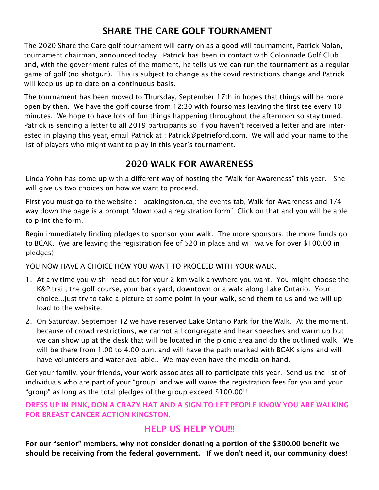## SHARE THE CARE GOLF TOURNAMENT

The 2020 Share the Care golf tournament will carry on as a good will tournament, Patrick Nolan, tournament chairman, announced today. Patrick has been in contact with Colonnade Golf Club and, with the government rules of the moment, he tells us we can run the tournament as a regular game of golf (no shotgun). This is subject to change as the covid restrictions change and Patrick will keep us up to date on a continuous basis.

The tournament has been moved to Thursday, September 17th in hopes that things will be more open by then. We have the golf course from 12:30 with foursomes leaving the first tee every 10 minutes. We hope to have lots of fun things happening throughout the afternoon so stay tuned. Patrick is sending a letter to all 2019 participants so if you haven't received a letter and are interested in playing this year, email Patrick at : Patrick@petrieford.com. We will add your name to the list of players who might want to play in this year's tournament.

## 2020 WALK FOR AWARENESS

Linda Yohn has come up with a different way of hosting the "Walk for Awareness" this year. She will give us two choices on how we want to proceed.

First you must go to the website : bcakingston.ca, the events tab, Walk for Awareness and 1/4 way down the page is a prompt "download a registration form" Click on that and you will be able to print the form.

Begin immediately finding pledges to sponsor your walk. The more sponsors, the more funds go to BCAK. (we are leaving the registration fee of \$20 in place and will waive for over \$100.00 in pledges)

YOU NOW HAVE A CHOICE HOW YOU WANT TO PROCEED WITH YOUR WALK.

- 1. At any time you wish, head out for your 2 km walk anywhere you want. You might choose the K&P trail, the golf course, your back yard, downtown or a walk along Lake Ontario. Your choice...just try to take a picture at some point in your walk, send them to us and we will upload to the website.
- 2. On Saturday, September 12 we have reserved Lake Ontario Park for the Walk. At the moment, because of crowd restrictions, we cannot all congregate and hear speeches and warm up but we can show up at the desk that will be located in the picnic area and do the outlined walk. We will be there from 1:00 to 4:00 p.m. and will have the path marked with BCAK signs and will have volunteers and water available.. We may even have the media on hand.

Get your family, your friends, your work associates all to participate this year. Send us the list of individuals who are part of your "group" and we will waive the registration fees for you and your "group" as long as the total pledges of the group exceed \$100.00!!

DRESS UP IN PINK, DON A CRAZY HAT AND A SIGN TO LET PEOPLE KNOW YOU ARE WALKING FOR BREAST CANCER ACTION KINGSTON.

#### HELP US HELP YOU!!!

For our "senior" members, why not consider donating a portion of the \$300.00 benefit we should be receiving from the federal government. If we don't need it, our community does!